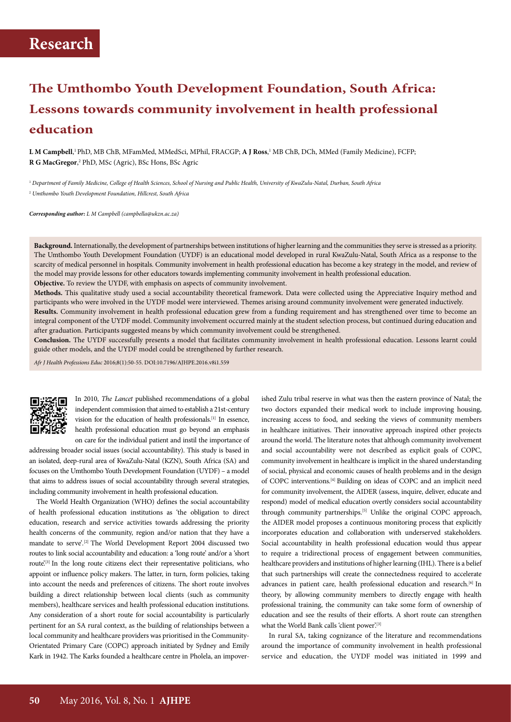# **The Umthombo Youth Development Foundation, South Africa: Lessons towards community involvement in health professional education**

**L M Campbell**,' PhD, MB ChB, MFamMed, MMedSci, MPhil, FRACGP; **A J Ross**,' MB ChB, DCh, MMed (Family Medicine), FCFP; R G MacGregor,<sup>2</sup> PhD, MSc (Agric), BSc Hons, BSc Agric

<sup>1</sup> *Department of Family Medicine, College of Health Sciences, School of Nursing and Public Health, University of KwaZulu-Natal, Durban, South Africa*  <sup>2</sup> *Umthombo Youth Development Foundation, Hillcrest, South Africa* 

*Corresponding author: L M Campbell (campbella@ukzn.ac.za)* 

**Background.** Internationally, the development of partnerships between institutions of higher learning and the communities they serve is stressed as a priority. The Umthombo Youth Development Foundation (UYDF) is an educational model developed in rural KwaZulu-Natal, South Africa as a response to the scarcity of medical personnel in hospitals. Community involvement in health professional education has become a key strategy in the model, and review of the model may provide lessons for other educators towards implementing community involvement in health professional education. **Objective.** To review the UYDF, with emphasis on aspects of community involvement.

**Methods.** This qualitative study used a social accountability theoretical framework. Data were collected using the Appreciative Inquiry method and participants who were involved in the UYDF model were interviewed. Themes arising around community involvement were generated inductively.

Results. Community involvement in health professional education grew from a funding requirement and has strengthened over time to become an integral component of the UYDF model. Community involvement occurred mainly at the student selection process, but continued during education and after graduation. Participants suggested means by which community involvement could be strengthened.

**Conclusion.** The UYDF successfully presents a model that facilitates community involvement in health professional education. Lessons learnt could guide other models, and the UYDF model could be strengthened by further research.

*Afr J Health Professions Educ* 2016;8(1):50-55. DOI:10.7196/AJHPE.2016.v8i1.559



In 2010, *The Lancet* published recommendations of a global independent commission that aimed to establish a 21st-century vision for the education of health professionals.[1] In essence, health professional education must go beyond an emphasis on care for the individual patient and instil the importance of

addressing broader social issues (social accountability). This study is based in an isolated, deep-rural area of KwaZulu-Natal (KZN), South Africa (SA) and focuses on the Umthombo Youth Development Foundation (UYDF) – a model that aims to address issues of social accountability through several strategies, including community involvement in health professional education.

The World Health Organization (WHO) defines the social accountability of health professional education institutions as 'the obligation to direct education, research and service activities towards addressing the priority health concerns of the community, region and/or nation that they have a mandate to serve<sup>''</sup>.<sup>[2]</sup> The World Development Report 2004 discussed two routes to link social accountability and education: a 'long route' and/or a 'short route.<sup>[3]</sup> In the long route citizens elect their representative politicians, who appoint or influence policy makers. The latter, in turn, form policies, taking into account the needs and preferences of citizens. The short route involves building a direct relationship between local clients (such as community members), healthcare services and health professional education institutions. Any consideration of a short route for social accountability is particularly pertinent for an SA rural context, as the building of relationships between a local community and healthcare providers was prioritised in the Community-Orientated Primary Care (COPC) approach initiated by Sydney and Emily Kark in 1942. The Karks founded a healthcare centre in Pholela, an impover-

ished Zulu tribal reserve in what was then the eastern province of Natal; the two doctors expanded their medical work to include improving housing, increasing access to food, and seeking the views of community members in healthcare initiatives. Their innovative approach inspired other projects around the world. The literature notes that although community involvement and social accountability were not described as explicit goals of COPC, community involvement in healthcare is implicit in the shared understanding of social, physical and economic causes of health problems and in the design of COPC interventions.[4] Building on ideas of COPC and an implicit need for community involvement, the AIDER (assess, inquire, deliver, educate and respond) model of medical education overtly considers social accountability through community partnerships.[5] Unlike the original COPC approach, the AIDER model proposes a continuous monitoring process that explicitly incorporates education and collaboration with underserved stakeholders. Social accountability in health professional education would thus appear to require a tridirectional process of engagement between communities, healthcare providers and institutions of higher learning (IHL). There is a belief that such partnerships will create the connectedness required to accelerate advances in patient care, health professional education and research.<sup>[6]</sup> In theory, by allowing community members to directly engage with health professional training, the community can take some form of ownership of education and see the results of their efforts. A short route can strengthen what the World Bank calls 'client power'.<sup>[3]</sup>

In rural SA, taking cognizance of the literature and recommendations around the importance of community involvement in health professional service and education, the UYDF model was initiated in 1999 and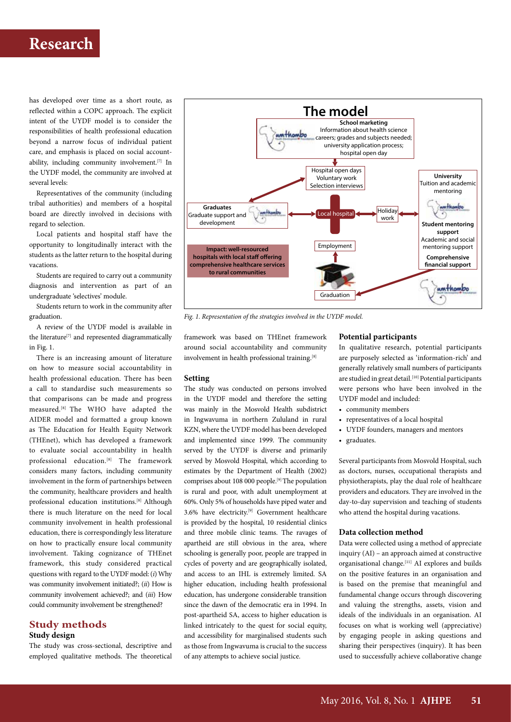has developed over time as a short route, as reflected within a COPC approach. The explicit intent of the UYDF model is to consider the responsibilities of health professional education beyond a narrow focus of individual patient care, and emphasis is placed on social accountability, including community involvement.[7] In the UYDF model, the community are involved at several levels:

Representatives of the community (including tribal authorities) and members of a hospital board are directly involved in decisions with regard to selection.

Local patients and hospital staff have the opportunity to longitudinally interact with the students as the latter return to the hospital during vacations.

Students are required to carry out a community diagnosis and intervention as part of an undergraduate 'selectives' module.

Students return to work in the community after graduation.

A review of the UYDF model is available in the literature<sup>[7]</sup> and represented diagrammatically in Fig. 1.

There is an increasing amount of literature on how to measure social accountability in health professional education. There has been a call to standardise such measurements so that comparisons can be made and progress measured.[8] The WHO have adapted the AIDER model and formatted a group known as The Education for Health Equity Network (THEnet), which has developed a framework to evaluate social accountability in health professional education.<sup>[8]</sup> The framework considers many factors, including community involvement in the form of partnerships between the community, healthcare providers and health professional education institutions.[8] Although there is much literature on the need for local community involvement in health professional education, there is correspondingly less literature on how to practically ensure local community involvement. Taking cognizance of THEnet framework, this study considered practical questions with regard to the UYDF model: (*i*) Why was community involvement initiated?; (*ii*) How is community involvement achieved?; and (*iii*) How could community involvement be strengthened?

### **Study methods**

#### **Study design**

The study was cross-sectional, descriptive and employed qualitative methods. The theoretical



*Fig. 1. Representation of the strategies involved in the UYDF model.*

framework was based on THEnet framework around social accountability and community involvement in health professional training.<sup>[8]</sup>

#### **Setting**

The study was conducted on persons involved in the UYDF model and therefore the setting was mainly in the Mosvold Health subdistrict in Ingwavuma in northern Zululand in rural KZN, where the UYDF model has been developed and implemented since 1999. The community served by the UYDF is diverse and primarily served by Mosvold Hospital, which according to estimates by the Department of Health (2002) comprises about 108 000 people.[9] The population is rural and poor, with adult unemployment at 60%. Only 5% of households have piped water and 3.6% have electricity.[9] Government healthcare is provided by the hospital, 10 residential clinics and three mobile clinic teams. The ravages of apartheid are still obvious in the area, where schooling is generally poor, people are trapped in cycles of poverty and are geographically isolated, and access to an IHL is extremely limited. SA higher education, including health professional education, has undergone considerable transition since the dawn of the democratic era in 1994. In post-apartheid SA, access to higher education is linked intricately to the quest for social equity, and accessibility for marginalised students such as those from Ingwavuma is crucial to the success of any attempts to achieve social justice.

#### **Potential participants**

In qualitative research, potential participants are purposely selected as 'information-rich' and generally relatively small numbers of participants are studied in great detail.<sup>[10]</sup> Potential participants were persons who have been involved in the UYDF model and included:

- community members
- representatives of a local hospital
- UYDF founders, managers and mentors
- graduates.

Several participants from Mosvold Hospital, such as doctors, nurses, occupational therapists and physiotherapists, play the dual role of healthcare providers and educators. They are involved in the day-to-day supervision and teaching of students who attend the hospital during vacations.

#### **Data collection method**

Data were collected using a method of appreciate inquiry (AI) – an approach aimed at constructive organisational change.[11] AI explores and builds on the positive features in an organisation and is based on the premise that meaningful and fundamental change occurs through discovering and valuing the strengths, assets, vision and ideals of the individuals in an organisation. AI focuses on what is working well (appreciative) by engaging people in asking questions and sharing their perspectives (inquiry). It has been used to successfully achieve collaborative change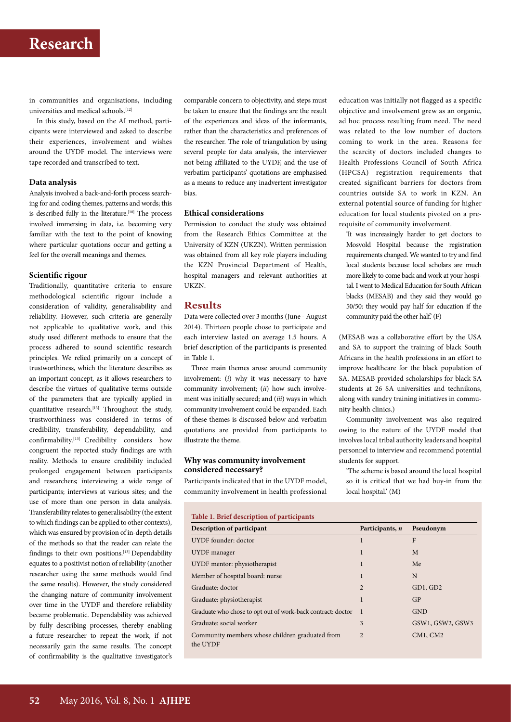in communities and organisations, including universities and medical schools.<sup>[12]</sup>

In this study, based on the AI method, participants were interviewed and asked to describe their experiences, involvement and wishes around the UYDF model. The interviews were tape recorded and transcribed to text.

#### **Data analysis**

Analysis involved a back-and-forth process searching for and coding themes, patterns and words; this is described fully in the literature.<sup>[10]</sup> The process involved immersing in data, i.e. becoming very familiar with the text to the point of knowing where particular quotations occur and getting a feel for the overall meanings and themes.

#### **Scientific rigour**

Traditionally, quantitative criteria to ensure methodological scientific rigour include a consideration of validity, generalisability and reliability. However, such criteria are generally not applicable to qualitative work, and this study used different methods to ensure that the process adhered to sound scientific research principles. We relied primarily on a concept of trustworthiness, which the literature describes as an important concept, as it allows researchers to describe the virtues of qualitative terms outside of the parameters that are typically applied in quantitative research.<sup>[13]</sup> Throughout the study, trustworthiness was considered in terms of credibility, transferability, dependability, and confirmability.[13] Credibility considers how congruent the reported study findings are with reality. Methods to ensure credibility included prolonged engagement between participants and researchers; interviewing a wide range of participants; interviews at various sites; and the use of more than one person in data analysis. Transferability relates to generalisability (the extent to which findings can be applied to other contexts), which was ensured by provision of in-depth details of the methods so that the reader can relate the findings to their own positions.<sup>[13]</sup> Dependability equates to a positivist notion of reliability (another researcher using the same methods would find the same results). However, the study considered the changing nature of community involvement over time in the UYDF and therefore reliability became problematic. Dependability was achieved by fully describing processes, thereby enabling a future researcher to repeat the work, if not necessarily gain the same results. The concept of confirmability is the qualitative investigator's comparable concern to objectivity, and steps must be taken to ensure that the findings are the result of the experiences and ideas of the informants, rather than the characteristics and preferences of the researcher. The role of triangulation by using several people for data analysis, the interviewer not being affiliated to the UYDF, and the use of verbatim participants' quotations are emphasised as a means to reduce any inadvertent investigator bias.

#### **Ethical considerations**

Permission to conduct the study was obtained from the Research Ethics Committee at the University of KZN (UKZN). Written permission was obtained from all key role players including the KZN Provincial Department of Health, hospital managers and relevant authorities at UKZN.

#### **Results**

Data were collected over 3 months (June - August 2014). Thirteen people chose to participate and each interview lasted on average 1.5 hours. A brief description of the participants is presented in Table 1.

Three main themes arose around community involvement: (*i*) why it was necessary to have community involvement; (*ii*) how such involvement was initially secured; and (*iii*) ways in which community involvement could be expanded. Each of these themes is discussed below and verbatim quotations are provided from participants to illustrate the theme.

#### **Why was community involvement considered necessary?**

Participants indicated that in the UYDF model, community involvement in health professional education was initially not flagged as a specific objective and involvement grew as an organic, ad hoc process resulting from need. The need was related to the low number of doctors coming to work in the area. Reasons for the scarcity of doctors included changes to Health Professions Council of South Africa (HPCSA) registration requirements that created significant barriers for doctors from countries outside SA to work in KZN. An external potential source of funding for higher education for local students pivoted on a prerequisite of community involvement.

'It was increasingly harder to get doctors to Mosvold Hospital because the registration requirements changed. We wanted to try and find local students because local scholars are much more likely to come back and work at your hospital. I went to Medical Education for South African blacks (MESAB) and they said they would go 50/50: they would pay half for education if the community paid the other half.' (F)

(MESAB was a collaborative effort by the USA and SA to support the training of black South Africans in the health professions in an effort to improve healthcare for the black population of SA. MESAB provided scholarships for black SA students at 26 SA universities and technikons, along with sundry training initiatives in community health clinics.)

Community involvement was also required owing to the nature of the UYDF model that involves local tribal authority leaders and hospital personnel to interview and recommend potential students for support.

'The scheme is based around the local hospital so it is critical that we had buy-in from the local hospital.' (M)

|  |  | Table 1. Brief description of participants |  |
|--|--|--------------------------------------------|--|
|  |  |                                            |  |

| Description of participant                                  | Participants, n | Pseudonym        |  |  |  |
|-------------------------------------------------------------|-----------------|------------------|--|--|--|
| UYDF founder: doctor                                        |                 | F                |  |  |  |
| UYDF manager                                                | $\mathbf{1}$    | M                |  |  |  |
| UYDF mentor: physiotherapist                                | 1               | Me               |  |  |  |
| Member of hospital board: nurse                             | 1               | N                |  |  |  |
| Graduate: doctor                                            | $\overline{c}$  | GD1, GD2         |  |  |  |
| Graduate: physiotherapist                                   | 1               | GP               |  |  |  |
| Graduate who chose to opt out of work-back contract: doctor |                 | <b>GND</b>       |  |  |  |
| Graduate: social worker                                     | 3               | GSW1, GSW2, GSW3 |  |  |  |
| Community members whose children graduated from<br>the UYDF | $\overline{c}$  | CM1, CM2         |  |  |  |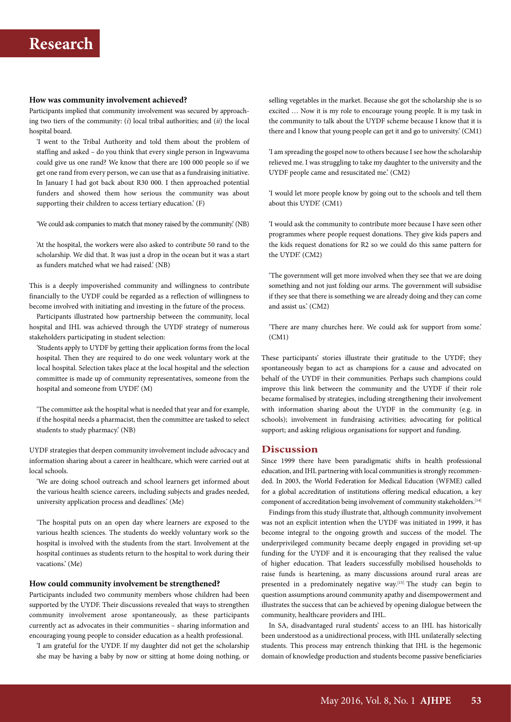#### **How was community involvement achieved?**

Participants implied that community involvement was secured by approaching two tiers of the community: (*i*) local tribal authorities; and (*ii*) the local hospital board.

'I went to the Tribal Authority and told them about the problem of staffing and asked – do you think that every single person in Ingwavuma could give us one rand? We know that there are 100 000 people so if we get one rand from every person, we can use that as a fundraising initiative. In January I had got back about R30 000. I then approached potential funders and showed them how serious the community was about supporting their children to access tertiary education.' (F)

'We could ask companies to match that money raised by the community.' (NB)

'At the hospital, the workers were also asked to contribute 50 rand to the scholarship. We did that. It was just a drop in the ocean but it was a start as funders matched what we had raised.' (NB)

This is a deeply impoverished community and willingness to contribute financially to the UYDF could be regarded as a reflection of willingness to become involved with initiating and investing in the future of the process.

Participants illustrated how partnership between the community, local hospital and IHL was achieved through the UYDF strategy of numerous stakeholders participating in student selection:

'Students apply to UYDF by getting their application forms from the local hospital. Then they are required to do one week voluntary work at the local hospital. Selection takes place at the local hospital and the selection committee is made up of community representatives, someone from the hospital and someone from UYDF.' (M)

'The committee ask the hospital what is needed that year and for example, if the hospital needs a pharmacist, then the committee are tasked to select students to study pharmacy.' (NB)

UYDF strategies that deepen community involvement include advocacy and information sharing about a career in healthcare, which were carried out at local schools.

'We are doing school outreach and school learners get informed about the various health science careers, including subjects and grades needed, university application process and deadlines.' (Me)

'The hospital puts on an open day where learners are exposed to the various health sciences. The students do weekly voluntary work so the hospital is involved with the students from the start. Involvement at the hospital continues as students return to the hospital to work during their vacations.' (Me)

#### **How could community involvement be strengthened?**

Participants included two community members whose children had been supported by the UYDF. Their discussions revealed that ways to strengthen community involvement arose spontaneously, as these participants currently act as advocates in their communities – sharing information and encouraging young people to consider education as a health professional.

'I am grateful for the UYDF. If my daughter did not get the scholarship she may be having a baby by now or sitting at home doing nothing, or selling vegetables in the market. Because she got the scholarship she is so excited … Now it is my role to encourage young people. It is my task in the community to talk about the UYDF scheme because I know that it is there and I know that young people can get it and go to university.' (CM1)

'I am spreading the gospel now to others because I see how the scholarship relieved me. I was struggling to take my daughter to the university and the UYDF people came and resuscitated me.' (CM2)

'I would let more people know by going out to the schools and tell them about this UYDF.' (CM1)

'I would ask the community to contribute more because I have seen other programmes where people request donations. They give kids papers and the kids request donations for R2 so we could do this same pattern for the UYDF.' (CM2)

'The government will get more involved when they see that we are doing something and not just folding our arms. The government will subsidise if they see that there is something we are already doing and they can come and assist us.' (CM2)

'There are many churches here. We could ask for support from some.'  $(CM1)$ 

These participants' stories illustrate their gratitude to the UYDF; they spontaneously began to act as champions for a cause and advocated on behalf of the UYDF in their communities. Perhaps such champions could improve this link between the community and the UYDF if their role became formalised by strategies, including strengthening their involvement with information sharing about the UYDF in the community (e.g. in schools); involvement in fundraising activities; advocating for political support; and asking religious organisations for support and funding.

#### **Discussion**

Since 1999 there have been paradigmatic shifts in health professional education, and IHL partnering with local communities is strongly recommended. In 2003, the World Federation for Medical Education (WFME) called for a global accreditation of institutions offering medical education, a key component of accreditation being involvement of community stakeholders.<sup>[14]</sup>

Findings from this study illustrate that, although community involvement was not an explicit intention when the UYDF was initiated in 1999, it has become integral to the ongoing growth and success of the model. The underprivileged community became deeply engaged in providing set-up funding for the UYDF and it is encouraging that they realised the value of higher education. That leaders successfully mobilised households to raise funds is heartening, as many discussions around rural areas are presented in a predominately negative way.<sup>[15]</sup> The study can begin to question assumptions around community apathy and disempowerment and illustrates the success that can be achieved by opening dialogue between the community, healthcare providers and IHL.

In SA, disadvantaged rural students' access to an IHL has historically been understood as a unidirectional process, with IHL unilaterally selecting students. This process may entrench thinking that IHL is the hegemonic domain of knowledge production and students become passive beneficiaries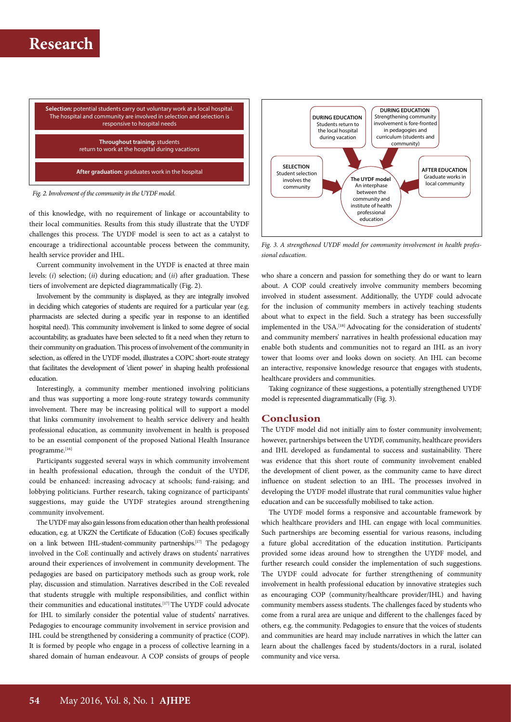

*Fig. 2. Involvement of the community in the UYDF model.*

of this knowledge, with no requirement of linkage or accountability to their local communities. Results from this study illustrate that the UYDF challenges this process. The UYDF model is seen to act as a catalyst to encourage a tridirectional accountable process between the community, health service provider and IHL.

Current community involvement in the UYDF is enacted at three main levels: (*i*) selection; (*ii*) during education; and (*ii*) after graduation. These tiers of involvement are depicted diagrammatically (Fig. 2).

Involvement by the community is displayed, as they are integrally involved in deciding which categories of students are required for a particular year (e.g. pharmacists are selected during a specific year in response to an identified hospital need). This community involvement is linked to some degree of social accountability, as graduates have been selected to fit a need when they return to their community on graduation. This process of involvement of the community in selection, as offered in the UYDF model, illustrates a COPC short-route strategy that facilitates the development of 'client power' in shaping health professional education.

Interestingly, a community member mentioned involving politicians and thus was supporting a more long-route strategy towards community involvement. There may be increasing political will to support a model that links community involvement to health service delivery and health professional education, as community involvement in health is proposed to be an essential component of the proposed National Health Insurance programme.[16]

Participants suggested several ways in which community involvement in health professional education, through the conduit of the UYDF, could be enhanced: increasing advocacy at schools; fund-raising; and lobbying politicians. Further research, taking cognizance of participants' suggestions, may guide the UYDF strategies around strengthening community involvement.

The UYDF may also gain lessons from education other than health professional education, e.g. at UKZN the Certificate of Education (CoE) focuses specifically on a link between IHL-student-community partnerships.<sup>[17]</sup> The pedagogy involved in the CoE continually and actively draws on students' narratives around their experiences of involvement in community development. The pedagogies are based on participatory methods such as group work, role play, discussion and stimulation. Narratives described in the CoE revealed that students struggle with multiple responsibilities, and conflict within their communities and educational institutes.<sup>[17]</sup> The UYDF could advocate for IHL to similarly consider the potential value of students' narratives. Pedagogies to encourage community involvement in service provision and IHL could be strengthened by considering a community of practice (COP). It is formed by people who engage in a process of collective learning in a shared domain of human endeavour. A COP consists of groups of people



*Fig. 3. A strengthened UYDF model for community involvement in health professional education.*

who share a concern and passion for something they do or want to learn about. A COP could creatively involve community members becoming involved in student assessment. Additionally, the UYDF could advocate for the inclusion of community members in actively teaching students about what to expect in the field. Such a strategy has been successfully implemented in the USA.<sup>[18]</sup> Advocating for the consideration of students' and community members' narratives in health professional education may enable both students and communities not to regard an IHL as an ivory tower that looms over and looks down on society. An IHL can become an interactive, responsive knowledge resource that engages with students, healthcare providers and communities.

Taking cognizance of these suggestions, a potentially strengthened UYDF model is represented diagrammatically (Fig. 3).

### **Conclusion**

The UYDF model did not initially aim to foster community involvement; however, partnerships between the UYDF, community, healthcare providers and IHL developed as fundamental to success and sustainability. There was evidence that this short route of community involvement enabled the development of client power, as the community came to have direct influence on student selection to an IHL. The processes involved in developing the UYDF model illustrate that rural communities value higher education and can be successfully mobilised to take action.

The UYDF model forms a responsive and accountable framework by which healthcare providers and IHL can engage with local communities. Such partnerships are becoming essential for various reasons, including a future global accreditation of the education institution. Participants provided some ideas around how to strengthen the UYDF model, and further research could consider the implementation of such suggestions. The UYDF could advocate for further strengthening of community involvement in health professional education by innovative strategies such as encouraging COP (community/healthcare provider/IHL) and having community members assess students. The challenges faced by students who come from a rural area are unique and different to the challenges faced by others, e.g. the community. Pedagogies to ensure that the voices of students and communities are heard may include narratives in which the latter can learn about the challenges faced by students/doctors in a rural, isolated community and vice versa.